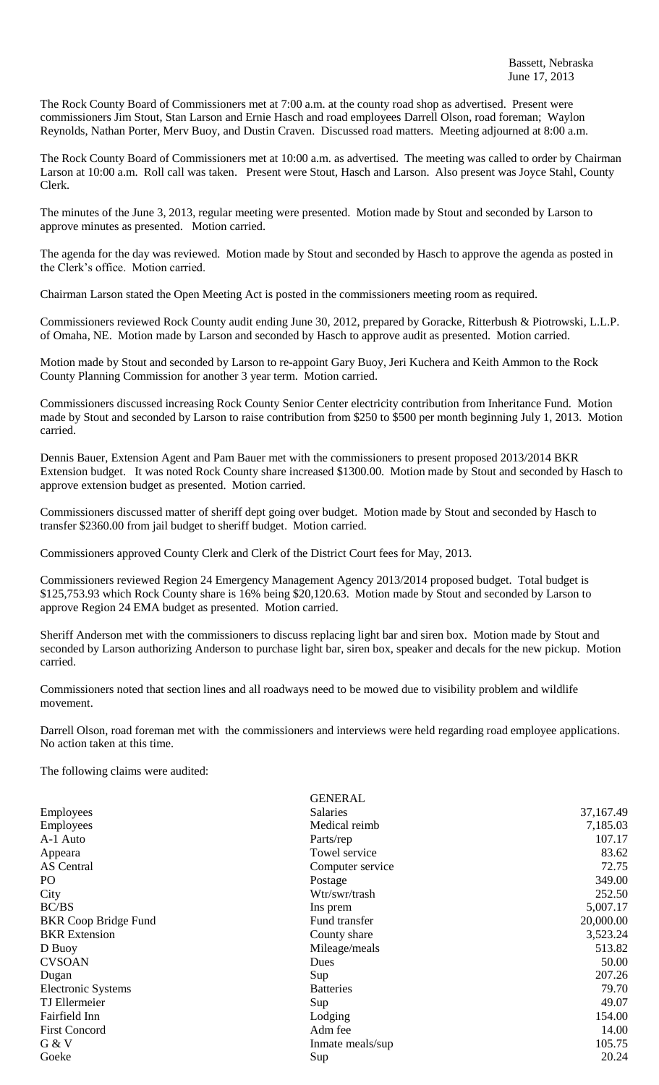The Rock County Board of Commissioners met at 7:00 a.m. at the county road shop as advertised. Present were commissioners Jim Stout, Stan Larson and Ernie Hasch and road employees Darrell Olson, road foreman; Waylon Reynolds, Nathan Porter, Merv Buoy, and Dustin Craven. Discussed road matters. Meeting adjourned at 8:00 a.m.

The Rock County Board of Commissioners met at 10:00 a.m. as advertised. The meeting was called to order by Chairman Larson at 10:00 a.m. Roll call was taken. Present were Stout, Hasch and Larson. Also present was Joyce Stahl, County Clerk.

The minutes of the June 3, 2013, regular meeting were presented. Motion made by Stout and seconded by Larson to approve minutes as presented. Motion carried.

The agenda for the day was reviewed. Motion made by Stout and seconded by Hasch to approve the agenda as posted in the Clerk's office. Motion carried.

Chairman Larson stated the Open Meeting Act is posted in the commissioners meeting room as required.

Commissioners reviewed Rock County audit ending June 30, 2012, prepared by Goracke, Ritterbush & Piotrowski, L.L.P. of Omaha, NE. Motion made by Larson and seconded by Hasch to approve audit as presented. Motion carried.

Motion made by Stout and seconded by Larson to re-appoint Gary Buoy, Jeri Kuchera and Keith Ammon to the Rock County Planning Commission for another 3 year term. Motion carried.

Commissioners discussed increasing Rock County Senior Center electricity contribution from Inheritance Fund. Motion made by Stout and seconded by Larson to raise contribution from \$250 to \$500 per month beginning July 1, 2013. Motion carried.

Dennis Bauer, Extension Agent and Pam Bauer met with the commissioners to present proposed 2013/2014 BKR Extension budget. It was noted Rock County share increased \$1300.00. Motion made by Stout and seconded by Hasch to approve extension budget as presented. Motion carried.

Commissioners discussed matter of sheriff dept going over budget. Motion made by Stout and seconded by Hasch to transfer \$2360.00 from jail budget to sheriff budget. Motion carried.

Commissioners approved County Clerk and Clerk of the District Court fees for May, 2013.

Commissioners reviewed Region 24 Emergency Management Agency 2013/2014 proposed budget. Total budget is \$125,753.93 which Rock County share is 16% being \$20,120.63. Motion made by Stout and seconded by Larson to approve Region 24 EMA budget as presented. Motion carried.

Sheriff Anderson met with the commissioners to discuss replacing light bar and siren box. Motion made by Stout and seconded by Larson authorizing Anderson to purchase light bar, siren box, speaker and decals for the new pickup. Motion carried.

Commissioners noted that section lines and all roadways need to be mowed due to visibility problem and wildlife movement.

Darrell Olson, road foreman met with the commissioners and interviews were held regarding road employee applications. No action taken at this time.

The following claims were audited:

|                             | <b>GENERAL</b>   |           |
|-----------------------------|------------------|-----------|
| Employees                   | Salaries         | 37,167.49 |
| Employees                   | Medical reimb    | 7,185.03  |
| A-1 Auto                    | Parts/rep        | 107.17    |
| Appeara                     | Towel service    | 83.62     |
| AS Central                  | Computer service | 72.75     |
| PO                          | Postage          | 349.00    |
| City                        | Wtr/swr/trash    | 252.50    |
| BC/BS                       | Ins prem         | 5,007.17  |
| <b>BKR</b> Coop Bridge Fund | Fund transfer    | 20,000.00 |
| <b>BKR</b> Extension        | County share     | 3,523.24  |
| D Buoy                      | Mileage/meals    | 513.82    |
| <b>CVSOAN</b>               | Dues             | 50.00     |
| Dugan                       | Sup              | 207.26    |
| <b>Electronic Systems</b>   | <b>Batteries</b> | 79.70     |
| TJ Ellermeier               | Sup              | 49.07     |
| Fairfield Inn               | Lodging          | 154.00    |
| <b>First Concord</b>        | Adm fee          | 14.00     |
| G & V                       | Inmate meals/sup | 105.75    |
| Goeke                       | Sup              | 20.24     |
|                             |                  |           |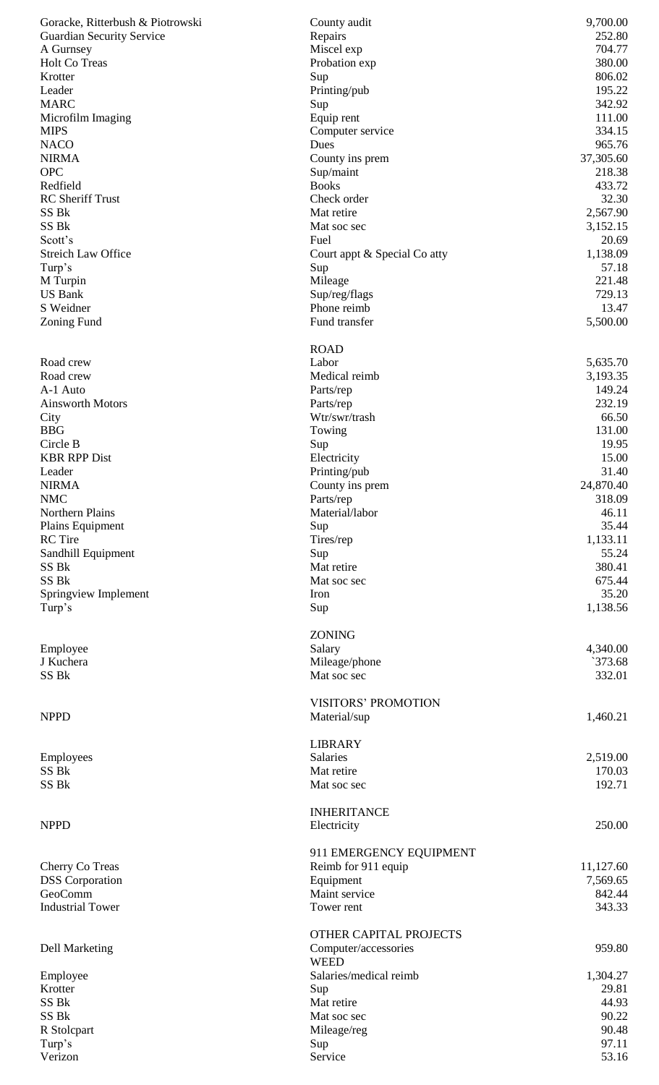| Goracke, Ritterbush & Piotrowski | County audit                                   | 9,700.00           |
|----------------------------------|------------------------------------------------|--------------------|
| <b>Guardian Security Service</b> | Repairs                                        | 252.80             |
| A Gurnsey<br>Holt Co Treas       | Miscel exp<br>Probation exp                    | 704.77<br>380.00   |
| Krotter                          | Sup                                            | 806.02             |
| Leader                           | Printing/pub                                   | 195.22             |
| MARC                             | Sup                                            | 342.92             |
| Microfilm Imaging                | Equip rent                                     | 111.00             |
| MIPS                             | Computer service                               | 334.15             |
| NACO                             | Dues                                           | 965.76             |
| <b>NIRMA</b>                     | County ins prem                                | 37,305.60          |
| <b>OPC</b>                       | Sup/maint                                      | 218.38             |
| Redfield                         | <b>Books</b>                                   | 433.72             |
| <b>RC</b> Sheriff Trust<br>SS Bk | Check order<br>Mat retire                      | 32.30<br>2,567.90  |
| SS Bk                            | Mat soc sec                                    | 3,152.15           |
| Scott's                          | Fuel                                           | 20.69              |
| <b>Streich Law Office</b>        | Court appt & Special Co atty                   | 1,138.09           |
| Turp's                           | Sup                                            | 57.18              |
| M Turpin                         | Mileage                                        | 221.48             |
| <b>US Bank</b>                   | Sup/reg/flags                                  | 729.13             |
| S Weidner                        | Phone reimb                                    | 13.47              |
| <b>Zoning Fund</b>               | Fund transfer                                  | 5,500.00           |
|                                  | <b>ROAD</b>                                    |                    |
| Road crew                        | Labor                                          | 5,635.70           |
| Road crew                        | Medical reimb                                  | 3,193.35           |
| A-1 Auto                         | Parts/rep                                      | 149.24             |
| <b>Ainsworth Motors</b>          | Parts/rep                                      | 232.19             |
| City                             | Wtr/swr/trash                                  | 66.50              |
| BBG                              | Towing                                         | 131.00             |
| Circle B<br><b>KBR RPP Dist</b>  | Sup<br>Electricity                             | 19.95<br>15.00     |
| Leader                           | Printing/pub                                   | 31.40              |
| <b>NIRMA</b>                     | County ins prem                                | 24,870.40          |
| NMC                              | Parts/rep                                      | 318.09             |
| Northern Plains                  | Material/labor                                 | 46.11              |
| Plains Equipment                 | Sup                                            | 35.44              |
| <b>RC</b> Tire                   | Tires/rep                                      | 1,133.11           |
| Sandhill Equipment               | Sup                                            | 55.24              |
| SS Bk                            | Mat retire                                     | 380.41             |
| SS Bk<br>Springview Implement    | Mat soc sec<br>Iron                            | 675.44<br>35.20    |
| Turp's                           | Sup                                            | 1,138.56           |
|                                  |                                                |                    |
|                                  | ZONING                                         |                    |
| Employee                         | Salary                                         | 4,340.00           |
| J Kuchera                        | Mileage/phone                                  | 373.68             |
| SS Bk                            | Mat soc sec                                    | 332.01             |
|                                  | <b>VISITORS' PROMOTION</b>                     |                    |
| NPPD                             | Material/sup                                   | 1,460.21           |
|                                  |                                                |                    |
|                                  | <b>LIBRARY</b>                                 |                    |
| Employees<br>SS Bk               | Salaries<br>Mat retire                         | 2,519.00<br>170.03 |
| SS Bk                            | Mat soc sec                                    | 192.71             |
|                                  |                                                |                    |
|                                  | <b>INHERITANCE</b>                             |                    |
| NPPD                             | Electricity                                    | 250.00             |
|                                  |                                                |                    |
| Cherry Co Treas                  | 911 EMERGENCY EQUIPMENT<br>Reimb for 911 equip | 11,127.60          |
| <b>DSS</b> Corporation           | Equipment                                      | 7,569.65           |
| GeoComm                          | Maint service                                  | 842.44             |
| <b>Industrial Tower</b>          | Tower rent                                     | 343.33             |
|                                  |                                                |                    |
|                                  | OTHER CAPITAL PROJECTS                         |                    |
| <b>Dell Marketing</b>            | Computer/accessories<br><b>WEED</b>            | 959.80             |
| Employee                         | Salaries/medical reimb                         | 1,304.27           |
| Krotter                          | Sup                                            | 29.81              |
| SS Bk                            | Mat retire                                     | 44.93              |
| SS Bk                            | Mat soc sec                                    | 90.22              |
| R Stolcpart                      | Mileage/reg                                    | 90.48              |
| Turp's                           | Sup                                            | 97.11              |
| Verizon                          | Service                                        | 53.16              |